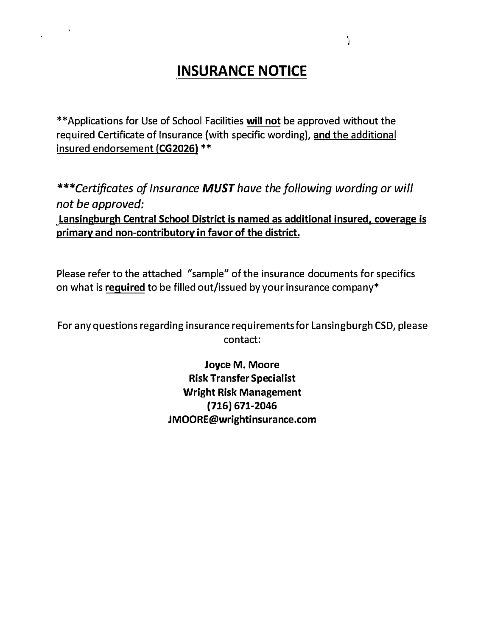# **INSURANCE NOTICE**

 $\mathbf{e}_{\text{max}}$ 

\*\*Applications for Use of School Facilities **will not** be approved without the required Certificate of Insurance (with specific wording), **and** the additional insured endorsement **(CG2026)** \*\*

*\*\*\*Certificates of Insurance MUST have the following wording or will not be approved:*  **Lansingburgh Central School District is named as additional insured, coverage is primary and non-contributory in favor of the district.** 

Please refer to the attached "sample" of the insurance documents for specifics on what is **required** to be filled out/issued by your insurance company\*

For any questions regarding insurance requirements for Lansingburgh CSD, please contact:

> **Joyce M. Moore Risk Transfer Specialist Wright Risk Management (716) 671-2046 [JMOORE@wrightinsurance.com](mailto:JMOORE@wrightinsurance.com)**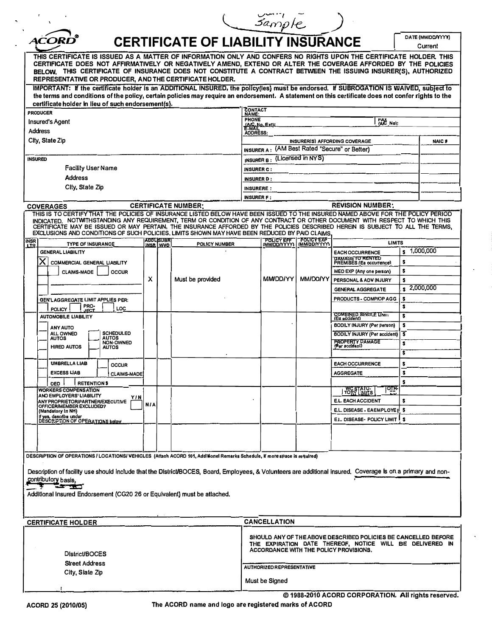|                                                                                                                                                                                                                                                                                                                                                                                                                  |                                                                                                                                                                                                                                                                                                                                                                                                                                                                                                    |            |                              |                                                                                               |                                                                                                                                                                                                   | sample                  |                 |                                                                          |         |                               |
|------------------------------------------------------------------------------------------------------------------------------------------------------------------------------------------------------------------------------------------------------------------------------------------------------------------------------------------------------------------------------------------------------------------|----------------------------------------------------------------------------------------------------------------------------------------------------------------------------------------------------------------------------------------------------------------------------------------------------------------------------------------------------------------------------------------------------------------------------------------------------------------------------------------------------|------------|------------------------------|-----------------------------------------------------------------------------------------------|---------------------------------------------------------------------------------------------------------------------------------------------------------------------------------------------------|-------------------------|-----------------|--------------------------------------------------------------------------|---------|-------------------------------|
|                                                                                                                                                                                                                                                                                                                                                                                                                  | <i>ACORL</i>                                                                                                                                                                                                                                                                                                                                                                                                                                                                                       |            |                              | <b>CERTIFICATE OF LIABILITY INSURANCE</b>                                                     |                                                                                                                                                                                                   |                         |                 |                                                                          |         | DA'TE (MM/DD/VYYY)<br>Current |
| THIS CERTIFICATE IS ISSUED AS A MATTER OF INFORMATION ONLY AND CONFERS NO RIGHTS UPON THE CERTIFICATE HOLDER. THIS<br>CERTIFICATE DOES NOT AFFIRMATIVELY OR NEGATIVELY AMEND, EXTEND OR ALTER THE COVERAGE AFFORDED BY THE POLICIES<br>BELOW. THIS CERTIFICATE OF INSURANCE DOES NOT CONSTITUTE A CONTRACT BETWEEN THE ISSUING INSURER(S), AUTHORIZED<br>REPRESENTATIVE OR PRODUCER, AND THE CERTIFICATE HOLDER. |                                                                                                                                                                                                                                                                                                                                                                                                                                                                                                    |            |                              |                                                                                               |                                                                                                                                                                                                   |                         |                 |                                                                          |         |                               |
|                                                                                                                                                                                                                                                                                                                                                                                                                  | IMPORTANT: If the certificate holder is an ADDITIONAL INSURED, the policy(les) must be endorsed. If SUBROGATION IS WAIVED, subject to<br>the terms and conditions of the policy, certain policies may require an endorsement. A statement on this certificate does not confer rights to the<br>certificate holder in lieu of such endorsement(s).                                                                                                                                                  |            |                              |                                                                                               |                                                                                                                                                                                                   |                         |                 |                                                                          |         |                               |
| <b>PRODUCER</b><br><b>Insured's Agent</b>                                                                                                                                                                                                                                                                                                                                                                        |                                                                                                                                                                                                                                                                                                                                                                                                                                                                                                    |            |                              | CONTACT<br>NAME:<br><b>PHONE</b><br>FAX<br>{A/C No):                                          |                                                                                                                                                                                                   |                         |                 |                                                                          |         |                               |
| <b>Address</b><br>City, State Zip                                                                                                                                                                                                                                                                                                                                                                                |                                                                                                                                                                                                                                                                                                                                                                                                                                                                                                    |            |                              | <b>(A/C, No. Ext):</b><br>E-MAIL<br>ADDRESS:<br><b>NAIC#</b><br>INSURER(S) AFFORDING COVERAGE |                                                                                                                                                                                                   |                         |                 |                                                                          |         |                               |
| INSURED                                                                                                                                                                                                                                                                                                                                                                                                          |                                                                                                                                                                                                                                                                                                                                                                                                                                                                                                    |            |                              |                                                                                               | <b>INSURER A:</b> $(AM Best Rated "Secure" or Better)$<br>INSURER B: (Licensed in NYS)                                                                                                            |                         |                 |                                                                          |         |                               |
|                                                                                                                                                                                                                                                                                                                                                                                                                  | <b>Facility User Name</b>                                                                                                                                                                                                                                                                                                                                                                                                                                                                          |            |                              |                                                                                               | INSURER C :                                                                                                                                                                                       |                         |                 |                                                                          |         |                               |
|                                                                                                                                                                                                                                                                                                                                                                                                                  | <b>Address</b><br>Clty, State Zip                                                                                                                                                                                                                                                                                                                                                                                                                                                                  |            |                              |                                                                                               | <b>INSURER D:</b><br><b>INSURERE:</b>                                                                                                                                                             |                         |                 |                                                                          |         |                               |
|                                                                                                                                                                                                                                                                                                                                                                                                                  |                                                                                                                                                                                                                                                                                                                                                                                                                                                                                                    |            |                              |                                                                                               | <b>INSURER F:</b>                                                                                                                                                                                 |                         |                 |                                                                          |         |                               |
|                                                                                                                                                                                                                                                                                                                                                                                                                  | <b>COVERAGES</b>                                                                                                                                                                                                                                                                                                                                                                                                                                                                                   |            |                              | <b>CERTIFICATE NUMBER:</b>                                                                    |                                                                                                                                                                                                   |                         |                 | <b>REVISION NUMBER:</b>                                                  |         |                               |
|                                                                                                                                                                                                                                                                                                                                                                                                                  | THIS IS TO CERTIFY THAT THE POLICIES OF INSURANCE LISTED BELOW HAVE BEEN ISSUED TO THE INSURED NAMED ABOVE FOR THE POLICY PERIOD<br>INDICATED. NOTWITHSTANDING ANY REQUIREMENT, TERM OR CONDITION OF ANY CONTRACT OR OTHER DOCUMENT WITH RESPECT TO WHICH THIS<br>CERTIFICATE MAY BE ISSUED OR MAY PERTAIN, THE INSURANCE AFFORDED BY THE POLICIES DESCRIBED HEREIN IS SUBJECT TO ALL THE TERMS.<br>EXCLUSIONS AND CONDITIONS OF SUCH POLICIES, LIMITS SHOWN MAY HAVE BEEN REDUCED BY PAID CLAIMS. |            |                              |                                                                                               |                                                                                                                                                                                                   |                         |                 |                                                                          |         |                               |
| <b>INSR</b>                                                                                                                                                                                                                                                                                                                                                                                                      | <b>TYPE OF INSURANCE</b>                                                                                                                                                                                                                                                                                                                                                                                                                                                                           |            | <b>ADDLISUBR</b><br>INSR MVD | POLICY NUMBER                                                                                 |                                                                                                                                                                                                   | POLICY EFF   POLICY EXP |                 | <b>LIMITS</b>                                                            |         |                               |
|                                                                                                                                                                                                                                                                                                                                                                                                                  | <b>GENERAL LIABILITY</b>                                                                                                                                                                                                                                                                                                                                                                                                                                                                           |            |                              |                                                                                               |                                                                                                                                                                                                   |                         |                 | <b>EACH OCCURRENCE</b><br><b>DAMAGE TO RENTED</b>                        |         | 1,000,000                     |
|                                                                                                                                                                                                                                                                                                                                                                                                                  | Х<br>COMMERCIAL GENERAL LIABILITY                                                                                                                                                                                                                                                                                                                                                                                                                                                                  |            |                              |                                                                                               |                                                                                                                                                                                                   |                         |                 | PREMISES (Ea occurrence)                                                 | \$      |                               |
|                                                                                                                                                                                                                                                                                                                                                                                                                  | <b>CLAIMS-MADE</b><br>OCCUR                                                                                                                                                                                                                                                                                                                                                                                                                                                                        | x          |                              | Must be provided                                                                              |                                                                                                                                                                                                   | <b>MMDD/YY</b>          | <b>MM/DO/YY</b> | MED EXP (Any one person)<br>PERSONAL & ADV INJURY                        | \$<br>s |                               |
|                                                                                                                                                                                                                                                                                                                                                                                                                  |                                                                                                                                                                                                                                                                                                                                                                                                                                                                                                    |            |                              |                                                                                               |                                                                                                                                                                                                   |                         |                 | <b>GENERAL AGGREGATE</b>                                                 |         | $\frac{2,000,000}{2}$         |
|                                                                                                                                                                                                                                                                                                                                                                                                                  | GEN'LAGGREGATE LIMIT APPLIES PER:                                                                                                                                                                                                                                                                                                                                                                                                                                                                  |            |                              |                                                                                               |                                                                                                                                                                                                   |                         |                 | PRODUCTS - COMP/OP AGG                                                   | s       |                               |
|                                                                                                                                                                                                                                                                                                                                                                                                                  | <b>PRO-</b><br>JECT<br>LOC<br><b>POLICY</b>                                                                                                                                                                                                                                                                                                                                                                                                                                                        |            |                              |                                                                                               |                                                                                                                                                                                                   |                         |                 |                                                                          | \$      |                               |
|                                                                                                                                                                                                                                                                                                                                                                                                                  | <b>AUTOMOBILE LIABILITY</b>                                                                                                                                                                                                                                                                                                                                                                                                                                                                        |            |                              |                                                                                               |                                                                                                                                                                                                   |                         |                 | COMBINED SINGLE LIMIT                                                    | \$      |                               |
|                                                                                                                                                                                                                                                                                                                                                                                                                  | <b>ANY AUTO</b><br>SCHEDULED<br>ALL OWNED                                                                                                                                                                                                                                                                                                                                                                                                                                                          |            |                              |                                                                                               |                                                                                                                                                                                                   |                         |                 | <b>BODILY INJURY (Per person)</b><br><b>BODILY INJURY (Per accident)</b> | \$<br>3 |                               |
|                                                                                                                                                                                                                                                                                                                                                                                                                  | <b>AUTOS</b><br>AUTOS<br>NON-OWNED<br><b>HIRED AUTOS</b><br><b>AUTOS</b>                                                                                                                                                                                                                                                                                                                                                                                                                           |            |                              |                                                                                               |                                                                                                                                                                                                   |                         |                 | <b>PROPERTY DAMAGE</b><br>(Per sccident)                                 | \$<br>5 |                               |
|                                                                                                                                                                                                                                                                                                                                                                                                                  | <b>UMBRELLA LIAB</b>                                                                                                                                                                                                                                                                                                                                                                                                                                                                               |            |                              |                                                                                               |                                                                                                                                                                                                   |                         |                 | <b>EACH OCCURRENCE</b>                                                   | \$      |                               |
|                                                                                                                                                                                                                                                                                                                                                                                                                  | <b>OCCUR</b><br><b>EXCESS UAB</b><br><b>CLAIMS-MADE</b>                                                                                                                                                                                                                                                                                                                                                                                                                                            |            |                              |                                                                                               |                                                                                                                                                                                                   |                         |                 | <b>AGGREGATE</b>                                                         |         |                               |
|                                                                                                                                                                                                                                                                                                                                                                                                                  | <b>RETENTIONS</b><br><b>DED</b>                                                                                                                                                                                                                                                                                                                                                                                                                                                                    |            |                              |                                                                                               |                                                                                                                                                                                                   |                         |                 |                                                                          | s       |                               |
|                                                                                                                                                                                                                                                                                                                                                                                                                  | <b>WORKERS COMPENSATION</b><br>ANO EMPLOYERS' LIABILITY                                                                                                                                                                                                                                                                                                                                                                                                                                            |            |                              |                                                                                               |                                                                                                                                                                                                   |                         |                 | <u> oih</u><br>WC STATU-<br>TORY LIMITS                                  |         |                               |
|                                                                                                                                                                                                                                                                                                                                                                                                                  | Y I N<br><b>ANY PROPRIETOR/PARTNER/EXECUTIVE</b><br>OFFICERIMEMBER EXCLUDED?                                                                                                                                                                                                                                                                                                                                                                                                                       | <b>NIA</b> |                              |                                                                                               |                                                                                                                                                                                                   |                         |                 | E.L. EACH ACCIDENT                                                       | s       |                               |
|                                                                                                                                                                                                                                                                                                                                                                                                                  | (Mandatory In NH)                                                                                                                                                                                                                                                                                                                                                                                                                                                                                  |            |                              |                                                                                               |                                                                                                                                                                                                   |                         |                 | E.L. DISEASE - EAEMPLOYE E \$                                            |         |                               |
|                                                                                                                                                                                                                                                                                                                                                                                                                  | If yes, describe under<br>DESCRIPTION OF OPERATIONS below                                                                                                                                                                                                                                                                                                                                                                                                                                          |            |                              |                                                                                               |                                                                                                                                                                                                   |                         |                 | E.I., DISEASE- POLICY LIMIT ! \$                                         |         |                               |
|                                                                                                                                                                                                                                                                                                                                                                                                                  |                                                                                                                                                                                                                                                                                                                                                                                                                                                                                                    |            |                              |                                                                                               |                                                                                                                                                                                                   |                         |                 |                                                                          |         |                               |
|                                                                                                                                                                                                                                                                                                                                                                                                                  | DESCRIPTION OF OPERATIONS / LOCATIONS/ VEHICLES (Attach ACORD 101, Additione! Remarks Schedule, If more space is required)                                                                                                                                                                                                                                                                                                                                                                         |            |                              |                                                                                               |                                                                                                                                                                                                   |                         |                 |                                                                          |         |                               |
| Description of facility use should include that the DistricUBOCES, Board, Employees, & Volunteers are additional insured. Coverage is on a primary and non-<br>contributory basis.<br>Additional insured Endorsement (CG20 26 or Equivalent) must be atlached.                                                                                                                                                   |                                                                                                                                                                                                                                                                                                                                                                                                                                                                                                    |            |                              |                                                                                               |                                                                                                                                                                                                   |                         |                 |                                                                          |         |                               |
|                                                                                                                                                                                                                                                                                                                                                                                                                  | <b>CERTIFICATE HOLDER</b>                                                                                                                                                                                                                                                                                                                                                                                                                                                                          |            |                              |                                                                                               |                                                                                                                                                                                                   | <b>CANCELLATION</b>     |                 |                                                                          |         |                               |
| <b>District/BOCES</b><br><b>Street Address</b>                                                                                                                                                                                                                                                                                                                                                                   |                                                                                                                                                                                                                                                                                                                                                                                                                                                                                                    |            |                              |                                                                                               | SHOULD ANY OF THE ABOVE DESCRIBED POLICIES BE CANCELLED BEFORE<br>THE EXPIRATION DATE THEREOF, NOTICE WILL BE DELIVERED IN<br>ACCORDANCE WITH THE POLICY PROVISIONS.<br>AUTHORIZED REPRESENTATIVE |                         |                 |                                                                          |         |                               |
| City, Slate Zlp                                                                                                                                                                                                                                                                                                                                                                                                  |                                                                                                                                                                                                                                                                                                                                                                                                                                                                                                    |            |                              |                                                                                               | Must be Signed                                                                                                                                                                                    |                         |                 |                                                                          |         |                               |
|                                                                                                                                                                                                                                                                                                                                                                                                                  |                                                                                                                                                                                                                                                                                                                                                                                                                                                                                                    |            |                              |                                                                                               |                                                                                                                                                                                                   |                         |                 |                                                                          |         |                               |

**© 1988-2010 ACORD CORPORATION. All rights reserved. ACORD 25 (2010/05) The ACORD name and logo are registered marks of ACORD**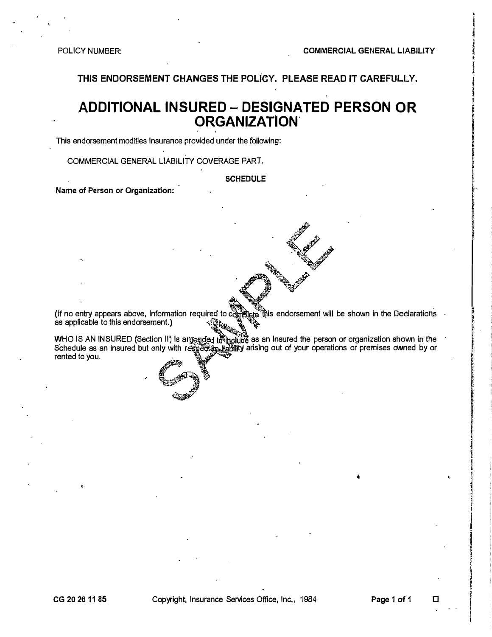**THIS ENDORSEMENT CHANGES THE POLiCY. PLEASE READ IT CAREFULLY.** 

# **ADDITIONAL INSURED - DESIGNATED PERSON OR ORGANIZATION.**

This endorsement modifies Insurance provided under the following:

COMMERCIAL GENERAL LlABILITY COVERAGE PART.

**SCHEDULE** 

**Name of Person** or **Organization:** 

(If no entry appears above, Information required to complete this endorsement will be shown in the Declarations as applicable to this endorsement.)

rented to you. WHO IS AN INSURED (Section II) Is arneaded tৌhclude as an Insured the person or organization shown in the Schedule as an insured but only with respecti<u>e liabil</u>ity arising out of your operations or premises owned by or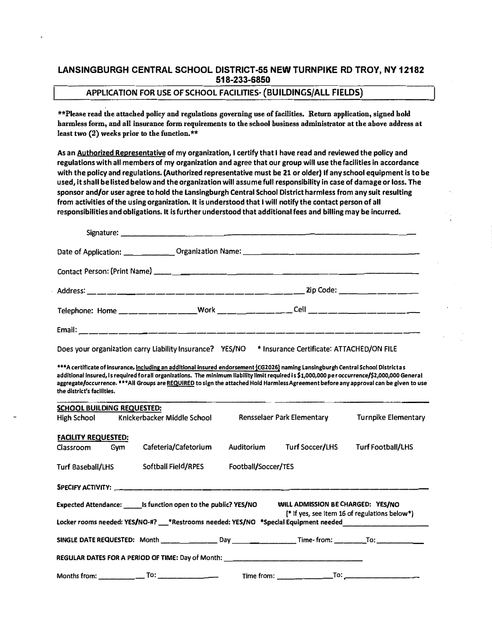### **LANSINGBURGH CENTRAL SCHOOL DISTRICT-55 NEW TURNPIKE RD TROY, NY 12182 518-233-6850**

### **APPLICATION FOR USE OF SCHOOL FACILITIES- (BUILDINGS/ALL FIELDS)**

**\*\*Please read the attached policy and regulations governing use of facilities. Return application, signed hold harm1ess form, and all insurance form requirements to the school business administrator at the above address at least two (2) weeks prior to the function,\*\*** 

**As an Authorized Representatiue of my organization, I certify that I haue read and reuiewed the policy and regulations with all members of my organization and agree that our group will use the facilities in accordance with the policy and regulations. (Authorized representatiue must be 21 or older) If anyschool equipment is to be used, it shall be listed below and the organization will assume full responsibility in case of damage or loss. The sponsor and/or user agree to hold the Lansingburgh Central School District harmless from any suit resulting from actiuities of the using organization. It is understood that I will notify the contact person of all responsibilities and obligations. It is further understood that additional fees and billing may be incurred.** 

| Does your organization carry Liability Insurance? YES/NO                                                                                                                                                                                                                                                                                                                                                                                                  | * Insurance Certificate: ATTACHED/ON FILE                                                           |  |  |  |  |  |  |
|-----------------------------------------------------------------------------------------------------------------------------------------------------------------------------------------------------------------------------------------------------------------------------------------------------------------------------------------------------------------------------------------------------------------------------------------------------------|-----------------------------------------------------------------------------------------------------|--|--|--|--|--|--|
| ***A certificate of insurance, Including an additional insured endorsement {CG2026} naming Lansingburgh Central School Districtas<br>additional Insured, Is required for all organizations. The minimum liability limit required is \$1,000,000 per occurrence/\$2,000,000 General<br>aggregate/occurrence. ***All Groups are REQUIRED to sign the attached Hold Harmiess Agreement before any approval can be given to use<br>the district's facilities. |                                                                                                     |  |  |  |  |  |  |
| <b>SCHOOL BUILDING REQUESTED:</b><br>Knickerbacker Middle School<br><b>High School</b>                                                                                                                                                                                                                                                                                                                                                                    | <b>Turnpike Elementary</b><br>Rensselaer Park Elementary                                            |  |  |  |  |  |  |
| <b>FACILITY REQUESTED:</b><br>Cafeteria/Cafetorium<br>Classroom<br>Gym<br>Softball Field/RPES                                                                                                                                                                                                                                                                                                                                                             | Auditorium<br><b>Turf Soccer/LHS</b><br><b>Turf Football/LHS</b><br>Football/Soccer/TES             |  |  |  |  |  |  |
| Turf Baseball/LHS<br>SPECIFY ACTIVITY: ______________________________                                                                                                                                                                                                                                                                                                                                                                                     |                                                                                                     |  |  |  |  |  |  |
| Expected Attendance: _______ is function open to the public? YES/NO<br>WILL ADMISSION BE CHARGED: YES/NO<br>[* If yes, see Item 16 of regulations below*)<br>Locker rooms needed: YES/NO-#? __*Restrooms needed: YES/NO *Special Equipment needed ____________                                                                                                                                                                                            |                                                                                                     |  |  |  |  |  |  |
|                                                                                                                                                                                                                                                                                                                                                                                                                                                           | SINGLE DATE REQUESTED: Month _______________ Day _______________Time-from: _________To: ___________ |  |  |  |  |  |  |
| REGULAR DATES FOR A PERIOD OF TIME: Day of Month: ______________________________                                                                                                                                                                                                                                                                                                                                                                          |                                                                                                     |  |  |  |  |  |  |
| $\frac{1}{100}$ $\frac{1}{100}$ $\frac{1}{100}$ $\frac{1}{100}$ $\frac{1}{100}$ $\frac{1}{100}$ $\frac{1}{100}$ $\frac{1}{100}$ $\frac{1}{100}$ $\frac{1}{100}$ $\frac{1}{100}$ $\frac{1}{100}$ $\frac{1}{100}$ $\frac{1}{100}$ $\frac{1}{100}$ $\frac{1}{100}$ $\frac{1}{100}$ $\frac{1}{100}$ $\frac{1$<br>Months from:                                                                                                                                 | Time from:                                                                                          |  |  |  |  |  |  |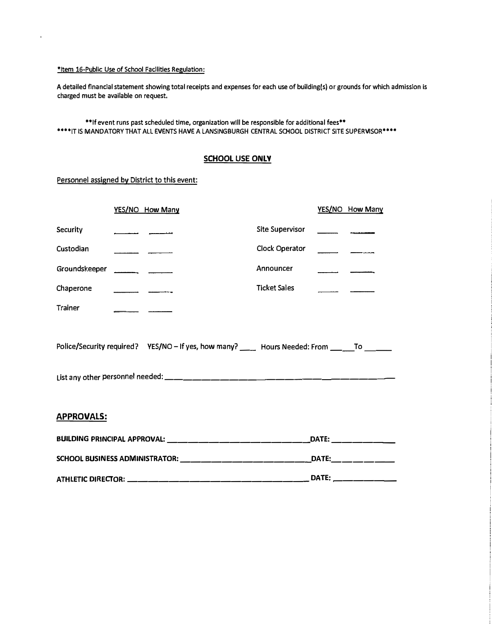### **\*Item 16-Public Use of School Facilities Regulation:**

 $\bar{a}$ 

**A detailed financial statement showing total receipts and expenses for each use of building(s) or grounds for which admission Is charged must be available on request.** 

**\*\*If event runs past scheduled time, organization wlll be responsible for additional fees\*\***  \*\*\*\*IT IS MANDATORY THAT ALL EVENTS HAVE A LANSINGBURGH CENTRAL SCHOOL DISTRICT SITE SUPERVISOR\*\*\*\*

### **SCHOOL USE ONLY**

### Personnel assigned by District to this event:

|                                                                                              |  | YES/NO How Many                                       |                                                                                  | YES/NO How Many |  |  |  |
|----------------------------------------------------------------------------------------------|--|-------------------------------------------------------|----------------------------------------------------------------------------------|-----------------|--|--|--|
| Security                                                                                     |  |                                                       | Site Supervisor                                                                  |                 |  |  |  |
| Custodian                                                                                    |  |                                                       | Clock Operator                                                                   |                 |  |  |  |
| Groundskeeper                                                                                |  |                                                       | Announcer                                                                        |                 |  |  |  |
| Chaperone                                                                                    |  |                                                       | <b>Ticket Sales</b>                                                              |                 |  |  |  |
| Trainer                                                                                      |  |                                                       |                                                                                  |                 |  |  |  |
| Police/Security required? YES/NO - If yes, how many? ____ Hours Needed: From ______To ______ |  |                                                       |                                                                                  |                 |  |  |  |
| <b>APPROVALS:</b>                                                                            |  |                                                       |                                                                                  |                 |  |  |  |
|                                                                                              |  | BUILDING PRINCIPAL APPROVAL: ________________________ |                                                                                  |                 |  |  |  |
|                                                                                              |  |                                                       | SCHOOL BUSINESS ADMINISTRATOR: _________________________________DATE:___________ |                 |  |  |  |
|                                                                                              |  |                                                       |                                                                                  |                 |  |  |  |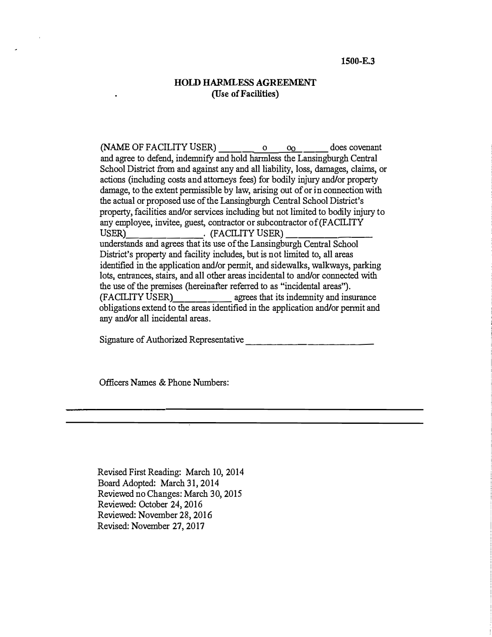### *HOLD HARMLESS AGREEMENT*  (Use *of Facilities)*

(NAME OF FACILITY USER)  $\frac{0}{\sqrt{0}}$  o  $\frac{0}{\sqrt{0}}$  does covenant and agree to defend, indemnify and hold harmless the Lansingburgh Central School District from and against any and all liability, loss, damages, claims, or actions (including costs and attorneys fees) for bodily injury and/or property damage, to the extent permissible by law, arising out of or in connection with the actual or proposed use of the Lansingburgh Central School District's property, facilities and/or services including but not limited to bodily injury to any employee, invitee, guest, contractor or subcontractor of (FACILITY USER)<br>USER) (FACILITY USER) USER)<br>understands and agrees that its use of the Lansingburgh Central School District's property and facility includes, but is not limited to, all areas identified in the application and/or permit, and sidewalks, walkways, parking lots, entrances, stairs, and all other areas incidental to and/or connected with the use of the premises (hereinafter referred to as "incidental areas").<br>(FACILITY USER) agrees that its indemnity and ins agrees that its indemnity and insurance obligations extend to the areas identified in the application and/or permit and any and/or all incidental areas.

Signature of Authorized Representative \_\_\_\_\_\_\_\_\_\_\_\_

Officers Names & Phone Numbers:

Revised First Reading: March 10, 2014 Board Adopted: March 31, 2014 Reviewed no Changes: March 30, 2015 Reviewed: October 24, 2016 Reviewed: November 28, 2016 Revised: November 27, 2017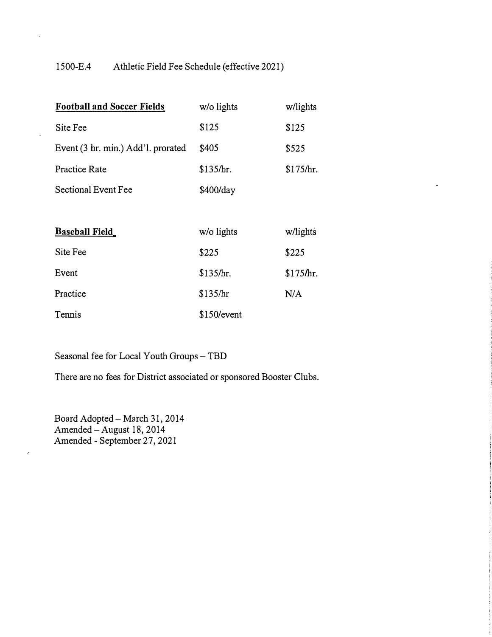## 1500-E.4 Athletic Field Fee Schedule (effective 2021)

×

 $\hat{\mathcal{L}}$ 

| <b>Football and Soccer Fields</b>  | w/o lights  | w/lights  |
|------------------------------------|-------------|-----------|
| Site Fee                           | \$125       | \$125     |
| Event (3 hr. min.) Add'l. prorated | \$405       | \$525     |
| <b>Practice Rate</b>               | \$135/hr.   | \$175/hr. |
| <b>Sectional Event Fee</b>         | \$400/day   |           |
|                                    |             |           |
| <b>Baseball Field</b>              | w/o lights  | w/lights  |
| Site Fee                           | \$225       | \$225     |
| Event                              | \$135/hr.   | \$175/hr. |
| Practice                           | \$135/hr    | N/A       |
| Tennis                             | \$150/event |           |

*Seasonal fee for Local Youth Groups -TBD* 

*There are no fees for District associated or sponsored Booster Clubs.* 

*Board Adopted -March 31, 2014 Amended-August 18, 2014 Amended- September 27, 2021*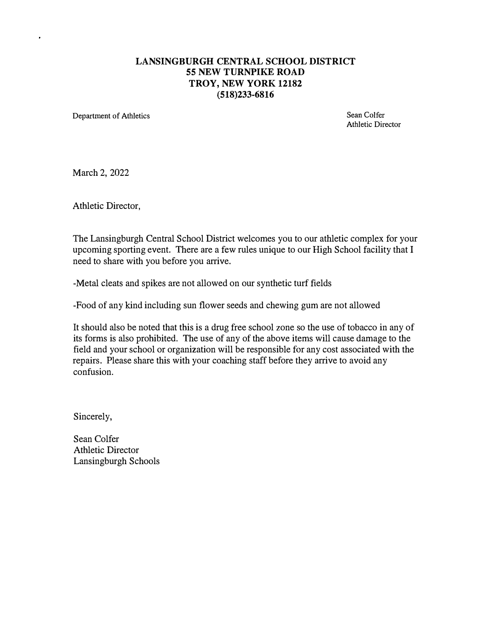## *LANSINGBURGH CENTRAL SCHOOL DISTRICT 55 NEW TURNPIKE ROAD TROY, NEW YORK 12182 (518)233-6816*

Department of Athletics Sean Colfer

Athletic Director

March 2, 2022

Athletic Director,

The Lansingburgh Central School District welcomes you to our athletic complex for your upcoming sporting event. There are a few rules unique to our High School facility that I need to share with you before you arrive.

-Metal cleats and spikes are not allowed on our synthetic turf fields

-Food of any kind including sun flower seeds and chewing gum are not allowed

It should also be noted that this is a drug free school zone so the use of tobacco in any of its forms is also prohibited. The use of any of the above items will cause damage to the field and your school or organization will be responsible for any cost associated with the repairs. Please share this with your coaching staff before they arrive to avoid any confusion.

Sincerely,

Sean Colfer Athletic Director Lansingburgh Schools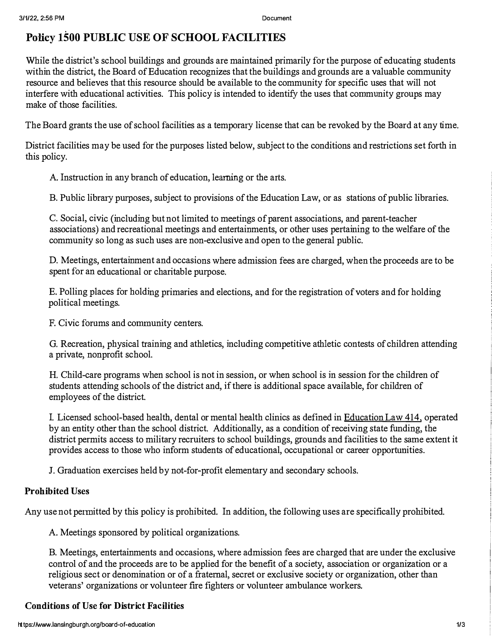# **Policy 1500 PUBLIC USE OF SCHOOL FACILITIES**

While the district's school buildings and grounds are maintained primarily for the purpose of educating students within the district, the Board of Education recognizes that the buildings and grounds are a valuable community resource and believes that this resource should be available to the community for specific uses that will not interfere with educational activities. This policy is intended to identify the uses that community groups may make of those facilities.

The Board grants the use of school facilities as a temporary license that can be revoked by the Board at any time.

District facilities may be used for the purposes listed below, subject to the conditions and restrictions set forth in this policy.

A. Instruction in any branch of education, learning or the arts.

B. Public library purposes, subject to provisions of the Education Law, or as stations of public libraries.

C. Social, civic (including but not limited to meetings of parent associations, and parent-teacher associations) and recreational meetings and entertainments, or other uses pertaining to the welfare of the community so long as such uses are non-exclusive and open to the general public.

D. Meetings, entertainment and occasions where admission fees are charged, when the proceeds are to be spent for an educational or charitable purpose.

E. Polling places for holding primaries and elections, and for the registration of voters and for holding political meetings.

F. Civic forums and community centers.

G. Recreation, physical training and athletics, including competitive athletic contests of children attending a private, nonprofit school.

H. Child-care programs when school is not in session, or when school is in session for the children of students attending schools of the district and, if there is additional space available, for children of employees of the district.

by an entity other than the school district. Additionally, as a condition of receiving state funding, the district permits access to military recruiters to school buildings, grounds and facilities to the same extent it provides access to those who inform students of educational, occupational or career opportunities. I. Licensed school-based health, dental or mental health clinics as defined in Education Law **414,** operated

J. Graduation exercises held by not-for-profit elementary and secondary schools.

### *Prohibited Uses*

Any use not permitted by this policy is prohibited. In addition, the following uses are specifically prohibited.

A. Meetings sponsored by political organizations.

B. Meetings, entertainments and occasions, where admission fees are charged that are under the exclusive control of and the proceeds are to be applied for the benefit of a society, association or organization or a religious sect or denomination or of a fraternal, secret or exclusive society or organization, other than veterans' organizations or volunteer fire fighters or volunteer ambulance workers.

## *Conditions of Use for District Facilities*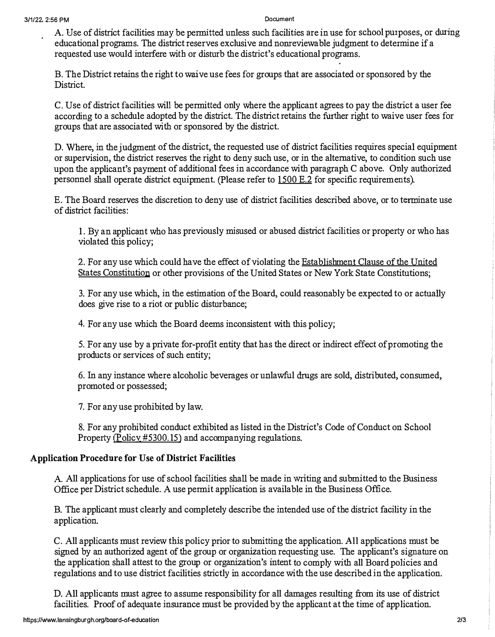A. Use of district facilities may be permitted unless such facilities are in use for school purposes, or during educational programs. The district reserves exclusive and nomeviewable judgment to detennine if a requested use would interfere with or disturb the district's educational programs,

B. The District retains the right to waive use fees for groups that are associated or sponsored by the District.

C, Use of district facilities will be permitted only where the applicant agrees to pay the district a user fee according to a schedule adopted by the district. The district retains the further right to waive user fees for groups that are associated with or sponsored by the district.

D. Where, in the judgment of the district, the requested use of district facilities requires special equipment or supervision, the district reserves the right to deny such use, or in the alternative, to condition such use upon the applicant's payment of additional fees in accordance with paragraph C above, Only authorized personnel shall operate district equipment. (Please refer to  $1500$  E.2 for specific requirements).

E. The Board reserves the discretion to deny use of district facilities described above, or to terminate use of district facilities:

1. By an applicant who has previously misused or abused district facilities or property or who has violated this policy;

2. For any use which could have the effect of violating the Establishment Clause of the United States Constitution or other provisions of the United States or New York State Constitutions;

3, For any use which, in the estimation of the Board, could reasonably be expected to or actually does give rise to a riot or public disturbance;

4. For any use which the Board deems inconsistent with this policy;

5. For any use by a private for-profit entity that has the direct or indirect effect of promoting the products or services of such entity;

6. In any instance where alcoholic beverages or unlawful drugs are sold, distributed, consumed, promoted or possessed;

7. For any use prohibited by law,

8, For any prohibited conduct exhibited as listed in the District's Code of Conduct on School Property  $(Policy\#5300.15)$  and accompanying regulations.

### **Application Procedure for Use of District Facilities**

A. All applications for use of school facilities shall be made in writing and submitted to the Business Office per District schedule. A use permit application is available in the Business Office.

B, The applicant must clearly and completely describe the intended use of the district facility in the application,

C. All applicants must review this policy prior to submitting the application, All applications must be signed by an authorized agent of the group or organization requesting use. The applicant's signature on the application shall attest to the group or organization's intent to comply with all Board policies and regulations and to use district facilities strictly in accordance with the use described in the application.

D, All applicants must agree to assume responsibility for all damages resulting from its use of district facilities. Proof of adequate insurance must be provided by the applicant at the time of application.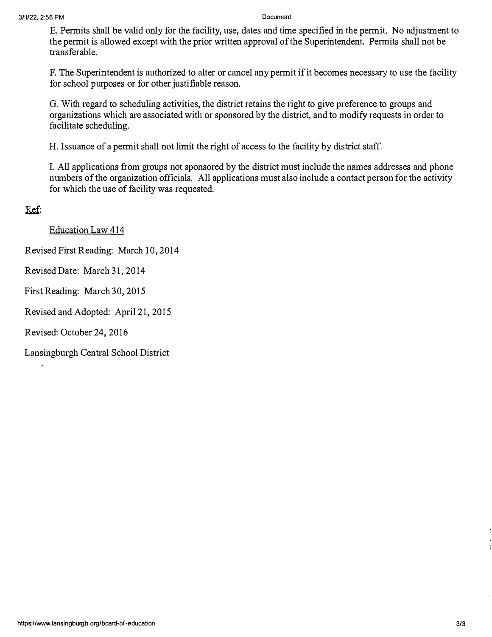*E*, Permits shall be valid only for the facility, use, dates and time specified in the permit. No adjustment to *the permit is allowed except with the prior written approval of the Superintendent. Permits shall not be transferable,* 

*F, The Superintendent is authorized to alter or cancel any permit if it becomes necessary to use the facility for school purposes or for other justifiable reason.* 

*G. With regard to scheduling activities, the district retains the right to give preference to groups and organizations which are associated with or sponsored by the district, and to modify requests in order to facilitate scheduling.* 

*H. Issuance of a permit shall not limit the right of access to the facility by district staff.* 

*I. All applications from groups not sponsored by the district must include the names addresses and phone numbers of the organization officials. All applications must also include a contact person for the activity for which the use of facility was requested.* 

Ref:

*Education Law 414* 

*Revised First Reading: March 10, 2014* 

*Revised Date: March 31, 2014* 

*First Reading: March 30, 2015* 

*Revised and Adopted: April 21, 2015* 

*Revised: October 24, 2016* 

*Lansingburgh Central School District*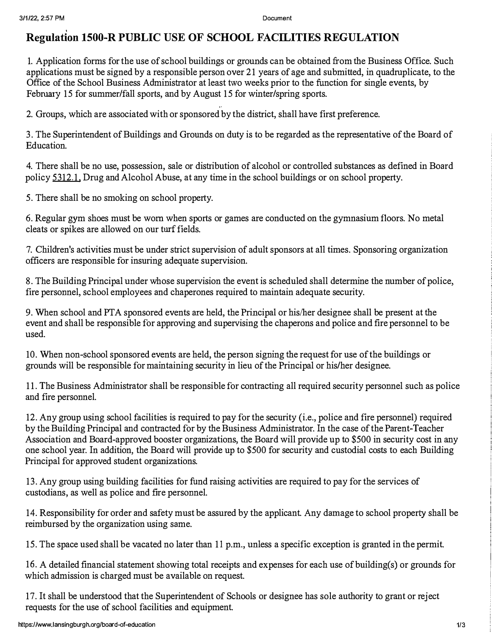# **Regulation 1500-R PUBLIC USE OF SCHOOL FACILITIES REGULATION**

1. Application forms for the use of school buildings or grounds can be obtained from the Business Office. Such applications must be signed by a responsible person over 21 years of age and submitted, in quadruplicate, to the Office of the School Business Administrator at least two weeks prior to the function for single events, by February 15 for summer/fall sports, and by August 15 for winter/spring sports.

2. Groups, which are associated with or sponsored by the district, shall have first preference.

3. The Superintendent of Buildings and Grounds on duty is to be regarded as the representative of the Board of Education.

4. There shall be no use, possession, sale or distribution of alcohol or controlled substances as defined in Board policy 5312.1, Drug and Alcohol Abuse, at any time in the school buildings or on school property.

5. There shall be no smoking on school property.

6. Regular gym shoes must be worn when sports or games are conducted on the gymnasium floors. No metal cleats or spikes are allowed on our turf fields.

7. Children's activities must be under strict supervision of adult sponsors at all times. Sponsoring organization officers are responsible for insuring adequate supervision.

8. The Building Principal under whose supervision the event is scheduled shall determine the number of police, fire personnel, school employees and chaperones required to maintain adequate security.

9. When school and PTA sponsored events are held, the Principal or his/her designee shall be present at the event and shall be responsible for approving and supervising the chaperons and police and fire personnel to be used.

10. When non-school sponsored events are held, the person signing the request for use of the buildings or grounds will be responsible for maintaining security in lieu of the Principal or his/her designee.

11. The Business Administrator shall be responsible for contracting all required security personnel such as police and fire personnel.

12. Any group using school facilities is required to pay for the security (i.e., police and fire personnel) required by the Building Principal and contracted for by the Business Administrator. In the case of the Parent-Teacher Association and Board-approved booster organizations, the Board will provide up to \$500 in security cost in any one school year. In addition, the Board will provide up to \$500 for security and custodial costs to each Building Principal for approved student organizations.

13. Any group using building facilities for fund raising activities are required to pay for the services of custodians, as well as police and frre personnel.

14. Responsibility for order and safety must be assured by the applicant. Any damage to school property shall be reimbursed by the organization using same.

15. The space used shall be vacated no later than 11 p.m., unless a specific exception is granted in the permit.

16. A detailed financial statement showing total receipts and expenses for each use of building(s) or grounds for which admission is charged must be available on request.

17. It shall be understood that the Superintendent of Schools or designee has sole authority to grant or reject requests for the use of school facilities and equipment.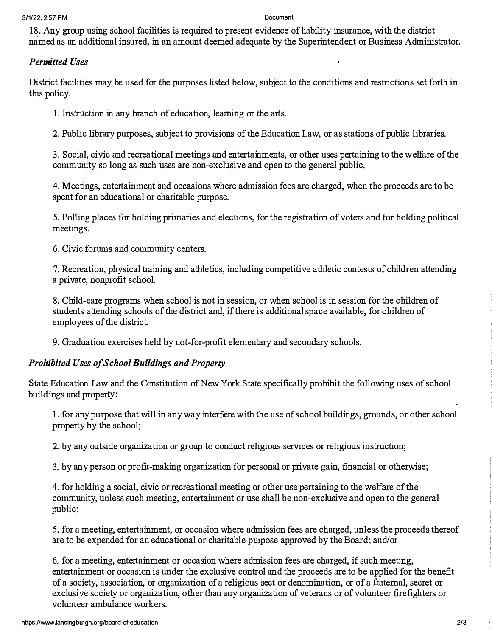18. Any group using school facilities is required to present evidence of liability insurance, with the district named as an additional insured, in an amount deemed adequate by the *<sup>S</sup>*uperintendent or Business Administrator.

## *Permitted Uses*

District facilities may be used for the purposes listed below, subject to the conditions and restrictions set forth in this policy.

1. Instruction in any branch of education, learning or the arts.

2. Public library purposes, subject to provisions of the Education Law, or as stations of public libraries.

3. *S*ocial, civic and recreational meetings and entertainments, or other uses pertaining to the w elfare of the community so long as such uses are non-exclusive and open to the general public.

4. Meetings, entertainment and occasions where admission fees are charged, when the proceeds are to be spent for an educational or charitable purpose.

5. Polling places for holding primaries and elections, for the registration of voters and for holding political meetings.

6. Civic forums and community centers.

7. Recreation, physical training and athletics, including competitive athletic contests of children attending a private, nonprofit school.

8. Child-care programs when school is not in session, or when school is in session for the children of students attending schools of the district and, if there is additional space available, for children of employees of the district.

9. Graduation exercises held by not-for-profit elementary and secondary schools.

### *Prohibited Uses of School Buildings and Property*

*S*tate Education Law and the Constitution of New York *S*tate specifically prohibit the following uses of school buildings and property:

1. for any purpose that will in any way interfere with the use of school buildings, grounds, or other school property by the school;

2. by any outside organization or group to conduct religious services or religious instruction;

3. by any person or profit-making organization for personal or private gain, financial or otherwise;

4. for holding a social, civic or recreational meeting or other use pertaining to the welfare of the community, unless such meeting, entertainment or use shall be non-exclusive and open to the general public;

5. for a meeting, entertainment, or occasion where admission fees are charged, unless the proceeds thereof are to be expended for an educational or charitable purpose approved by the Board; and/or

6. for a meeting, entertainment or occasion where admission fees are charged, if such meeting, entertainment or occasion is under the exclusive control and the proceeds are to be applied for the benefit of a society, association, or organization of a religious sect or denomination, or of a fraternal, secret or exclusive society or organization, other than any organization of veterans or of volunteer firefighters or volunteer ambulance workers.

 $\ddot{\phantom{0}}$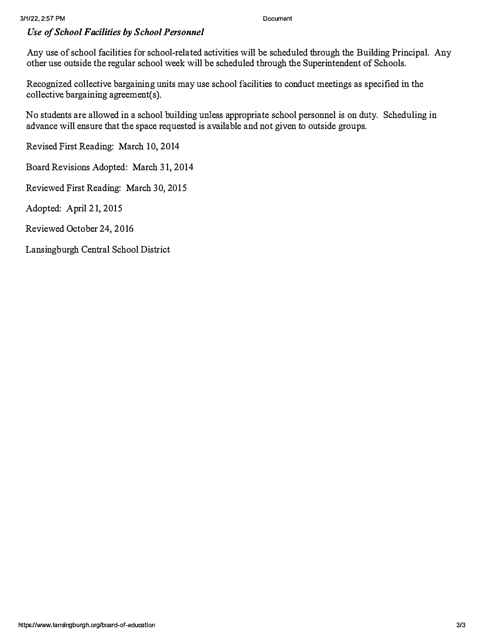### **3/1 /22, 2:57 PM Document**

### *U�e of School Facilities by School Personnel*

Any use of school facilities for school-related activities will be scheduled through the Building Principal. Any other use outside the regular school week will be scheduled through the Superintendent of Schools.

Recognized collective bargaining units may use school facilities to conduct meetings as specified in the collective bargaining agreement(s).

No students are allowed in a school building unless appropriate school personnel is on duty. Scheduling in advance will ensure that the space requested is available and not given to outside groups.

Revised First Reading: March 10, 2014

Board Revisions Adopted: March 31, 2014

Reviewed First Reading: March 30, 2015

Adopted: April 21, 2015

Reviewed October 24, 2016

Lansingburgh Central School District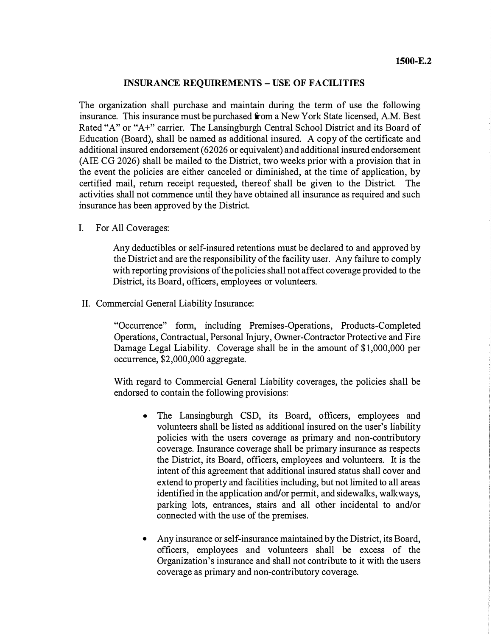### *INSURANCE REQUIREMENTS - USE OF FACILITIES*

*The organization shall purchase and maintain during the term of use the following insurance. This insurance must be purchased from a New York State licensed, A.M. Best Rated "A" or "A+" carrier. The Lansingburgh Central School District and its Board of Education (Board), shall be named as additional insured. A copy of the certificate and additional insured endorsement ( 62026 or equivalent) and additional insured endorsement (AIE CG 2026) shall be mailed to the District, two weeks prior with a provision that in the event the policies are either canceled or diminished, at the time of application, by certified mail, return receipt requested, thereof shall be given to the District. The activities shall not commence until they have obtained all insurance as required and such insurance has been approved by the District.* 

*I. For All Coverages:* 

*Any deductibles or self-insured retentions must be declared to and approved by the District and are the responsibility of the facility user. Any failure to comply with reporting provisions of the policies shall not affect coverage provided to the District, its Board, officers, employees or volunteers.* 

*II. Commercial General Liability Insurance:* 

*"Occurrence" form, including Premises-Operations, Products-Completed Operations, Contractual, Personal Injury, Owner-Contractor Protective and Fire Damage Legal Liability. Coverage shall be in the amount of \$1,000,000 per occurrence, \$2,000,000 aggregate.* 

*With regard to Commercial General Liability coverages, the policies shall be endorsed to contain the following provisions:* 

- *The Lansingburgh CSD, its Board, officers, employees and volunteers shall be listed as additional insured on the user's liability policies with the users coverage as primary and non-contributory coverage. Insurance coverage shall be primary insurance as respects the District, its Board, officers, employees and volunteers. It is the intent of this agreement that additional insured status shall cover and extend to property and facilities including, but not limited to all areas identified in the application and/or permit, and sidewalks, walkways, parking lots, entrances, stairs and all other incidental to and/or connected with the use of the premises.*
- *Any insurance or self-insurance maintained by the District, its Board, officers, employees and volunteers shall be excess of the Organization's insurance and shall not contribute to it with the users coverage as primary and non-contributory coverage.*